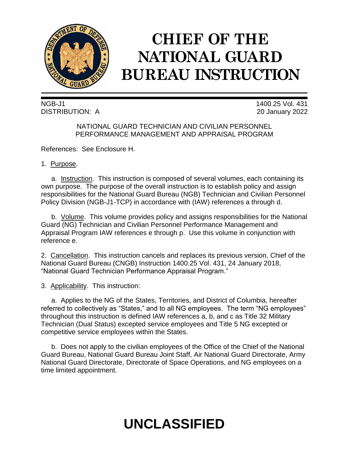

# **CHIEF OF THE NATIONAL GUARD BUREAU INSTRUCTION**

NGB-J1 1400.25 Vol. 431 DISTRIBUTION: A 20 January 2022

# NATIONAL GUARD TECHNICIAN AND CIVILIAN PERSONNEL PERFORMANCE MANAGEMENT AND APPRAISAL PROGRAM

References: See Enclosure H.

1. Purpose.

a. Instruction. This instruction is composed of several volumes, each containing its own purpose. The purpose of the overall instruction is to establish policy and assign responsibilities for the National Guard Bureau (NGB) Technician and Civilian Personnel Policy Division (NGB-J1-TCP) in accordance with (IAW) references a through d.

b. Volume. This volume provides policy and assigns responsibilities for the National Guard (NG) Technician and Civilian Personnel Performance Management and Appraisal Program IAW references e through p. Use this volume in conjunction with reference e.

2. Cancellation. This instruction cancels and replaces its previous version, Chief of the National Guard Bureau (CNGB) Instruction 1400.25 Vol. 431, 24 January 2018, "National Guard Technician Performance Appraisal Program."

3. Applicability. This instruction:

a. Applies to the NG of the States, Territories, and District of Columbia, hereafter referred to collectively as "States," and to all NG employees. The term "NG employees" throughout this instruction is defined IAW references a, b, and c as Title 32 Military Technician (Dual Status) excepted service employees and Title 5 NG excepted or competitive service employees within the States.

b. Does not apply to the civilian employees of the Office of the Chief of the National Guard Bureau, National Guard Bureau Joint Staff, Air National Guard Directorate, Army National Guard Directorate, Directorate of Space Operations, and NG employees on a time limited appointment.

# **UNCLASSIFIED**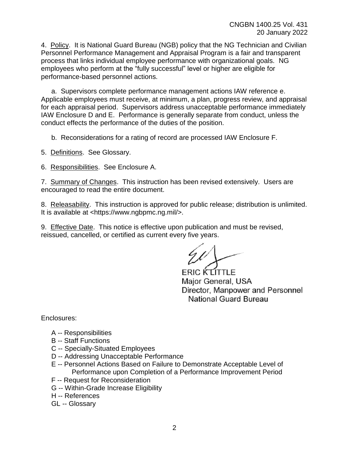4. Policy. It is National Guard Bureau (NGB) policy that the NG Technician and Civilian Personnel Performance Management and Appraisal Program is a fair and transparent process that links individual employee performance with organizational goals. NG employees who perform at the "fully successful" level or higher are eligible for performance-based personnel actions.

a. Supervisors complete performance management actions IAW reference e. Applicable employees must receive, at minimum, a plan, progress review, and appraisal for each appraisal period. Supervisors address unacceptable performance immediately IAW Enclosure D and E. Performance is generally separate from conduct, unless the conduct effects the performance of the duties of the position.

b. Reconsiderations for a rating of record are processed IAW Enclosure F.

5. Definitions. See Glossary.

6. Responsibilities. See Enclosure A.

7. Summary of Changes. This instruction has been revised extensively. Users are encouraged to read the entire document.

8. Releasability. This instruction is approved for public release; distribution is unlimited. It is available at <https://www.ngbpmc.ng.mil/>.

9. Effective Date. This notice is effective upon publication and must be revised, reissued, cancelled, or certified as current every five years.

**ERIC KLITTLE** Major General, USA Director, Manpower and Personnel National Guard Bureau

Enclosures:

- A -- Responsibilities
- B -- Staff Functions
- C -- Specially-Situated Employees
- D -- Addressing Unacceptable Performance
- E -- Personnel Actions Based on Failure to Demonstrate Acceptable Level of Performance upon Completion of a Performance Improvement Period
- F -- Request for Reconsideration
- G -- Within-Grade Increase Eligibility
- H -- References
- GL -- Glossary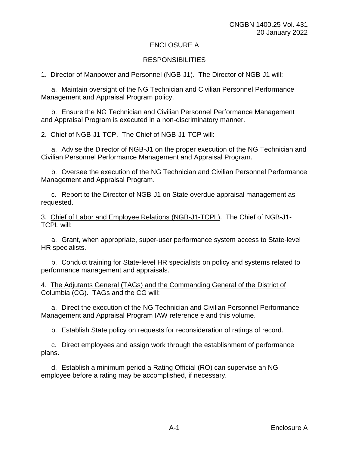# ENCLOSURE A

# **RESPONSIBILITIES**

1. Director of Manpower and Personnel (NGB-J1). The Director of NGB-J1 will:

a. Maintain oversight of the NG Technician and Civilian Personnel Performance Management and Appraisal Program policy.

b. Ensure the NG Technician and Civilian Personnel Performance Management and Appraisal Program is executed in a non-discriminatory manner.

2. Chief of NGB-J1-TCP. The Chief of NGB-J1-TCP will:

a. Advise the Director of NGB-J1 on the proper execution of the NG Technician and Civilian Personnel Performance Management and Appraisal Program.

b. Oversee the execution of the NG Technician and Civilian Personnel Performance Management and Appraisal Program.

c. Report to the Director of NGB-J1 on State overdue appraisal management as requested.

3. Chief of Labor and Employee Relations (NGB-J1-TCPL). The Chief of NGB-J1- TCPL will:

a. Grant, when appropriate, super-user performance system access to State-level HR specialists.

b. Conduct training for State-level HR specialists on policy and systems related to performance management and appraisals.

4. The Adjutants General (TAGs) and the Commanding General of the District of Columbia (CG). TAGs and the CG will:

a. Direct the execution of the NG Technician and Civilian Personnel Performance Management and Appraisal Program IAW reference e and this volume.

b. Establish State policy on requests for reconsideration of ratings of record.

c. Direct employees and assign work through the establishment of performance plans.

d. Establish a minimum period a Rating Official (RO) can supervise an NG employee before a rating may be accomplished, if necessary.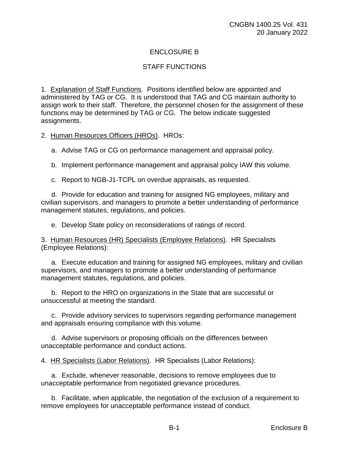# ENCLOSURE B

# STAFF FUNCTIONS

1. Explanation of Staff Functions. Positions identified below are appointed and administered by TAG or CG. It is understood that TAG and CG maintain authority to assign work to their staff. Therefore, the personnel chosen for the assignment of these functions may be determined by TAG or CG. The below indicate suggested assignments.

2. Human Resources Officers (HROs). HROs:

a. Advise TAG or CG on performance management and appraisal policy.

b. Implement performance management and appraisal policy IAW this volume.

c. Report to NGB-J1-TCPL on overdue appraisals, as requested.

d. Provide for education and training for assigned NG employees, military and civilian supervisors, and managers to promote a better understanding of performance management statutes, regulations, and policies.

e. Develop State policy on reconsiderations of ratings of record.

3. Human Resources (HR) Specialists (Employee Relations). HR Specialists (Employee Relations):

a. Execute education and training for assigned NG employees, military and civilian supervisors, and managers to promote a better understanding of performance management statutes, regulations, and policies.

b. Report to the HRO on organizations in the State that are successful or unsuccessful at meeting the standard.

c. Provide advisory services to supervisors regarding performance management and appraisals ensuring compliance with this volume.

d. Advise supervisors or proposing officials on the differences between unacceptable performance and conduct actions.

4. HR Specialists (Labor Relations). HR Specialists (Labor Relations):

a. Exclude, whenever reasonable, decisions to remove employees due to unacceptable performance from negotiated grievance procedures.

b. Facilitate, when applicable, the negotiation of the exclusion of a requirement to remove employees for unacceptable performance instead of conduct.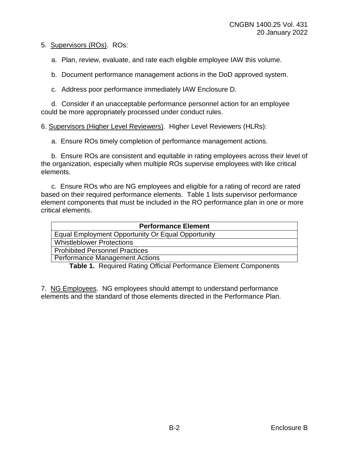5. Supervisors (ROs). ROs:

a. Plan, review, evaluate, and rate each eligible employee IAW this volume.

b. Document performance management actions in the DoD approved system.

c. Address poor performance immediately IAW Enclosure D.

d. Consider if an unacceptable performance personnel action for an employee could be more appropriately processed under conduct rules.

6. Supervisors (Higher Level Reviewers). Higher Level Reviewers (HLRs):

a. Ensure ROs timely completion of performance management actions.

b. Ensure ROs are consistent and equitable in rating employees across their level of the organization, especially when multiple ROs supervise employees with like critical elements.

c. Ensure ROs who are NG employees and eligible for a rating of record are rated based on their required performance elements. Table 1 lists supervisor performance element components that must be included in the RO performance plan in one or more critical elements.

| <b>Performance Element</b>                        |
|---------------------------------------------------|
| Equal Employment Opportunity Or Equal Opportunity |
| <b>Whistleblower Protections</b>                  |
| <b>Prohibited Personnel Practices</b>             |
| <b>Performance Management Actions</b>             |

**Table 1.** Required Rating Official Performance Element Components

7. NG Employees. NG employees should attempt to understand performance elements and the standard of those elements directed in the Performance Plan.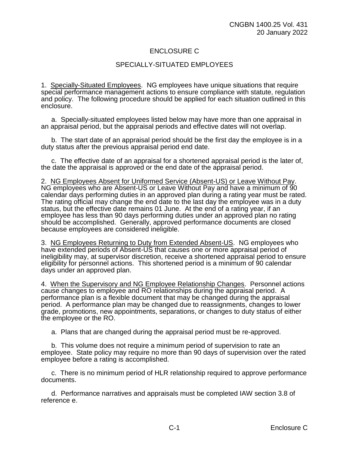# ENCLOSURE C

# SPECIALLY-SITUATED EMPLOYEES

1. Specially-Situated Employees. NG employees have unique situations that require special performance management actions to ensure compliance with statute, regulation and policy. The following procedure should be applied for each situation outlined in this enclosure.

a. Specially-situated employees listed below may have more than one appraisal in an appraisal period, but the appraisal periods and effective dates will not overlap.

b. The start date of an appraisal period should be the first day the employee is in a duty status after the previous appraisal period end date.

c. The effective date of an appraisal for a shortened appraisal period is the later of, the date the appraisal is approved or the end date of the appraisal period.

2. NG Employees Absent for Uniformed Service (Absent-US) or Leave Without Pay. NG employees who are Absent-US or Leave Without Pay and have a minimum of 90 calendar days performing duties in an approved plan during a rating year must be rated. The rating official may change the end date to the last day the employee was in a duty status, but the effective date remains 01 June. At the end of a rating year, if an employee has less than 90 days performing duties under an approved plan no rating should be accomplished. Generally, approved performance documents are closed because employees are considered ineligible.

3. NG Employees Returning to Duty from Extended Absent-US. NG employees who have extended periods of Absent-US that causes one or more appraisal period of ineligibility may, at supervisor discretion, receive a shortened appraisal period to ensure eligibility for personnel actions. This shortened period is a minimum of 90 calendar days under an approved plan.

4. When the Supervisory and NG Employee Relationship Changes. Personnel actions cause changes to employee and RO relationships during the appraisal period. A performance plan is a flexible document that may be changed during the appraisal period. A performance plan may be changed due to reassignments, changes to lower grade, promotions, new appointments, separations, or changes to duty status of either the employee or the RO.

a. Plans that are changed during the appraisal period must be re-approved.

b. This volume does not require a minimum period of supervision to rate an employee. State policy may require no more than 90 days of supervision over the rated employee before a rating is accomplished.

c. There is no minimum period of HLR relationship required to approve performance documents.

d. Performance narratives and appraisals must be completed IAW section 3.8 of reference e.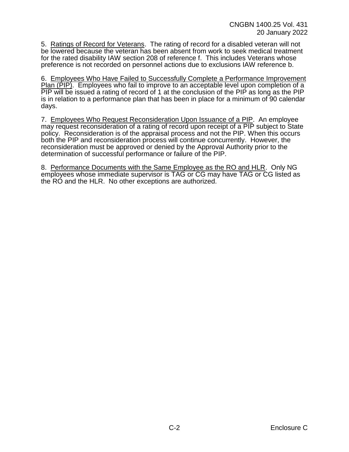5. Ratings of Record for Veterans. The rating of record for a disabled veteran will not be lowered because the veteran has been absent from work to seek medical treatment for the rated disability IAW section 208 of reference f. This includes Veterans whose preference is not recorded on personnel actions due to exclusions IAW reference b.

6. Employees Who Have Failed to Successfully Complete a Performance Improvement Plan (PIP). Employees who fail to improve to an acceptable level upon completion of a PIP will be issued a rating of record of 1 at the conclusion of the PIP as long as the PIP is in relation to a performance plan that has been in place for a minimum of 90 calendar days.

7. Employees Who Request Reconsideration Upon Issuance of a PIP. An employee may request reconsideration of a rating of record upon receipt of a PIP subject to State policy. Reconsideration is of the appraisal process and not the PIP. When this occurs both the PIP and reconsideration process will continue concurrently. However, the reconsideration must be approved or denied by the Approval Authority prior to the determination of successful performance or failure of the PIP.

8. Performance Documents with the Same Employee as the RO and HLR. Only NG employees whose immediate supervisor is TAG or CG may have TAG or CG listed as the RO and the HLR. No other exceptions are authorized.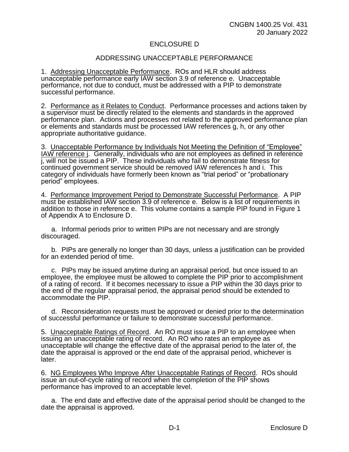## ENCLOSURE D

## ADDRESSING UNACCEPTABLE PERFORMANCE

1. Addressing Unacceptable Performance. ROs and HLR should address unacceptable performance early IAW section 3.9 of reference e. Unacceptable performance, not due to conduct, must be addressed with a PIP to demonstrate successful performance.

2. Performance as it Relates to Conduct. Performance processes and actions taken by a supervisor must be directly related to the elements and standards in the approved performance plan. Actions and processes not related to the approved performance plan or elements and standards must be processed IAW references g, h, or any other appropriate authoritative guidance.

3. Unacceptable Performance by Individuals Not Meeting the Definition of "Employee" IAW reference j. Generally, individuals who are not employees as defined in reference j, will not be issued a PIP. These individuals who fail to demonstrate fitness for continued government service should be removed IAW references h and i. This category of individuals have formerly been known as "trial period" or "probationary period" employees.

4. Performance Improvement Period to Demonstrate Successful Performance. A PIP must be established IAW section 3.9 of reference e. Below is a list of requirements in addition to those in reference e. This volume contains a sample PIP found in Figure 1 of Appendix A to Enclosure D.

a. Informal periods prior to written PIPs are not necessary and are strongly discouraged.

b. PIPs are generally no longer than 30 days, unless a justification can be provided for an extended period of time.

c. PIPs may be issued anytime during an appraisal period, but once issued to an employee, the employee must be allowed to complete the PIP prior to accomplishment of a rating of record. If it becomes necessary to issue a PIP within the 30 days prior to the end of the regular appraisal period, the appraisal period should be extended to accommodate the PIP.

d. Reconsideration requests must be approved or denied prior to the determination of successful performance or failure to demonstrate successful performance.

5. Unacceptable Ratings of Record. An RO must issue a PIP to an employee when issuing an unacceptable rating of record. An RO who rates an employee as unacceptable will change the effective date of the appraisal period to the later of, the date the appraisal is approved or the end date of the appraisal period, whichever is later.

6. NG Employees Who Improve After Unacceptable Ratings of Record. ROs should issue an out-of-cycle rating of record when the completion of the PIP shows performance has improved to an acceptable level.

a. The end date and effective date of the appraisal period should be changed to the date the appraisal is approved.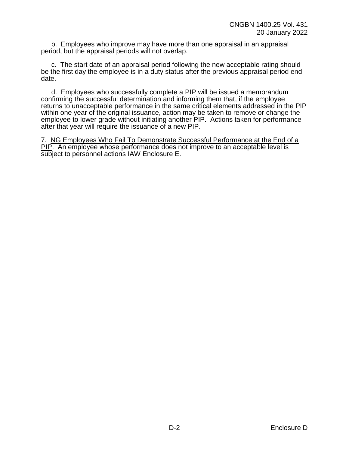b. Employees who improve may have more than one appraisal in an appraisal period, but the appraisal periods will not overlap.

c. The start date of an appraisal period following the new acceptable rating should be the first day the employee is in a duty status after the previous appraisal period end date.

d. Employees who successfully complete a PIP will be issued a memorandum confirming the successful determination and informing them that, if the employee returns to unacceptable performance in the same critical elements addressed in the PIP within one year of the original issuance, action may be taken to remove or change the employee to lower grade without initiating another PIP. Actions taken for performance after that year will require the issuance of a new PIP.

7. NG Employees Who Fail To Demonstrate Successful Performance at the End of a PIP. An employee whose performance does not improve to an acceptable level is subject to personnel actions IAW Enclosure E.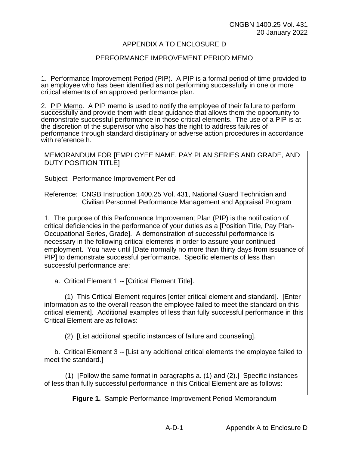## APPENDIX A TO ENCLOSURE D

### PERFORMANCE IMPROVEMENT PERIOD MEMO

1. Performance Improvement Period (PIP). A PIP is a formal period of time provided to an employee who has been identified as not performing successfully in one or more critical elements of an approved performance plan.

2. PIP Memo. A PIP memo is used to notify the employee of their failure to perform successfully and provide them with clear guidance that allows them the opportunity to demonstrate successful performance in those critical elements. The use of a PIP is at the discretion of the supervisor who also has the right to address failures of performance through standard disciplinary or adverse action procedures in accordance with reference h.

MEMORANDUM FOR [EMPLOYEE NAME, PAY PLAN SERIES AND GRADE, AND DUTY POSITION TITLE]

Subject: Performance Improvement Period

Reference: CNGB Instruction 1400.25 Vol. 431, National Guard Technician and Civilian Personnel Performance Management and Appraisal Program

1. The purpose of this Performance Improvement Plan (PIP) is the notification of critical deficiencies in the performance of your duties as a [Position Title, Pay Plan-Occupational Series, Grade]. A demonstration of successful performance is necessary in the following critical elements in order to assure your continued employment. You have until [Date normally no more than thirty days from issuance of PIP] to demonstrate successful performance. Specific elements of less than successful performance are:

a. Critical Element 1 -- [Critical Element Title].

(1) This Critical Element requires [enter critical element and standard]. [Enter information as to the overall reason the employee failed to meet the standard on this critical element]. Additional examples of less than fully successful performance in this Critical Element are as follows:

(2) [List additional specific instances of failure and counseling].

b. Critical Element 3 -- [List any additional critical elements the employee failed to meet the standard.]

(1) [Follow the same format in paragraphs a. (1) and (2).] Specific instances of less than fully successful performance in this Critical Element are as follows:

**Figure 1.** Sample Performance Improvement Period Memorandum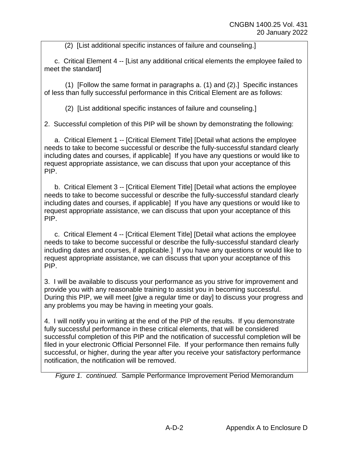(2) [List additional specific instances of failure and counseling.]

c. Critical Element 4 -- [List any additional critical elements the employee failed to meet the standard]

(1) [Follow the same format in paragraphs a. (1) and (2).] Specific instances of less than fully successful performance in this Critical Element are as follows:

(2) [List additional specific instances of failure and counseling.]

2. Successful completion of this PIP will be shown by demonstrating the following:

a. Critical Element 1 -- [Critical Element Title] [Detail what actions the employee needs to take to become successful or describe the fully-successful standard clearly including dates and courses, if applicable] If you have any questions or would like to request appropriate assistance, we can discuss that upon your acceptance of this PIP.

b. Critical Element 3 -- [Critical Element Title] [Detail what actions the employee needs to take to become successful or describe the fully-successful standard clearly including dates and courses, if applicable] If you have any questions or would like to request appropriate assistance, we can discuss that upon your acceptance of this PIP.

c. Critical Element 4 -- [Critical Element Title] [Detail what actions the employee needs to take to become successful or describe the fully-successful standard clearly including dates and courses, if applicable.] If you have any questions or would like to request appropriate assistance, we can discuss that upon your acceptance of this PIP.

3. I will be available to discuss your performance as you strive for improvement and provide you with any reasonable training to assist you in becoming successful. During this PIP, we will meet [give a regular time or day] to discuss your progress and any problems you may be having in meeting your goals.

4. I will notify you in writing at the end of the PIP of the results. If you demonstrate fully successful performance in these critical elements, that will be considered successful completion of this PIP and the notification of successful completion will be filed in your electronic Official Personnel File. If your performance then remains fully successful, or higher, during the year after you receive your satisfactory performance notification, the notification will be removed.

*Figure 1. continued.* Sample Performance Improvement Period Memorandum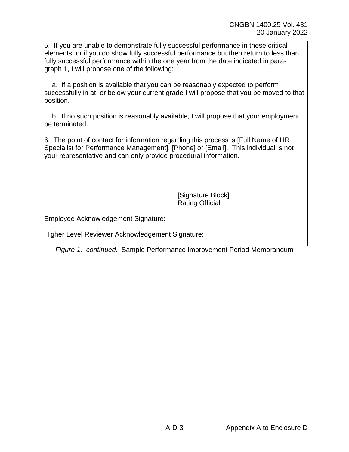5. If you are unable to demonstrate fully successful performance in these critical elements, or if you do show fully successful performance but then return to less than fully successful performance within the one year from the date indicated in paragraph 1, I will propose one of the following:

a. If a position is available that you can be reasonably expected to perform successfully in at, or below your current grade I will propose that you be moved to that position.

b. If no such position is reasonably available, I will propose that your employment be terminated.

6. The point of contact for information regarding this process is [Full Name of HR Specialist for Performance Management], [Phone] or [Email]. This individual is not your representative and can only provide procedural information.

> [Signature Block] Rating Official

Employee Acknowledgement Signature:

Higher Level Reviewer Acknowledgement Signature:

*Figure 1. continued.* Sample Performance Improvement Period Memorandum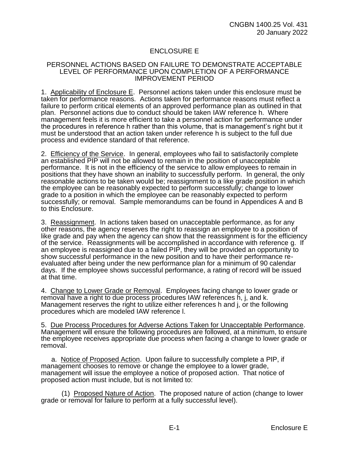# ENCLOSURE E

#### PERSONNEL ACTIONS BASED ON FAILURE TO DEMONSTRATE ACCEPTABLE LEVEL OF PERFORMANCE UPON COMPLETION OF A PERFORMANCE IMPROVEMENT PERIOD

1. Applicability of Enclosure E. Personnel actions taken under this enclosure must be taken for performance reasons. Actions taken for performance reasons must reflect a failure to perform critical elements of an approved performance plan as outlined in that plan. Personnel actions due to conduct should be taken IAW reference h. Where management feels it is more efficient to take a personnel action for performance under the procedures in reference h rather than this volume, that is management's right but it must be understood that an action taken under reference h is subject to the full due process and evidence standard of that reference.

2. Efficiency of the Service. In general, employees who fail to satisfactorily complete an established PIP will not be allowed to remain in the position of unacceptable performance. It is not in the efficiency of the service to allow employees to remain in positions that they have shown an inability to successfully perform. In general, the only reasonable actions to be taken would be; reassignment to a like grade position in which the employee can be reasonably expected to perform successfully; change to lower grade to a position in which the employee can be reasonably expected to perform successfully; or removal. Sample memorandums can be found in Appendices A and B to this Enclosure.

3. Reassignment. In actions taken based on unacceptable performance, as for any other reasons, the agency reserves the right to reassign an employee to a position of like grade and pay when the agency can show that the reassignment is for the efficiency of the service. Reassignments will be accomplished in accordance with reference g. If an employee is reassigned due to a failed PIP, they will be provided an opportunity to show successful performance in the new position and to have their performance reevaluated after being under the new performance plan for a minimum of 90 calendar days. If the employee shows successful performance, a rating of record will be issued at that time.

4. Change to Lower Grade or Removal. Employees facing change to lower grade or removal have a right to due process procedures IAW references h, j, and k. Management reserves the right to utilize either references h and j, or the following procedures which are modeled IAW reference l.

5. Due Process Procedures for Adverse Actions Taken for Unacceptable Performance. Management will ensure the following procedures are followed, at a minimum, to ensure the employee receives appropriate due process when facing a change to lower grade or removal.

a. Notice of Proposed Action. Upon failure to successfully complete a PIP, if management chooses to remove or change the employee to a lower grade, management will issue the employee a notice of proposed action. That notice of proposed action must include, but is not limited to:

(1) Proposed Nature of Action. The proposed nature of action (change to lower grade or removal for failure to perform at a fully successful level).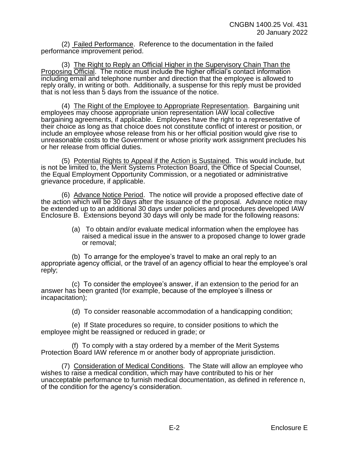(2) Failed Performance. Reference to the documentation in the failed performance improvement period.

(3) The Right to Reply an Official Higher in the Supervisory Chain Than the Proposing Official. The notice must include the higher official's contact information including email and telephone number and direction that the employee is allowed to reply orally, in writing or both. Additionally, a suspense for this reply must be provided that is not less than 5 days from the issuance of the notice.

(4) The Right of the Employee to Appropriate Representation. Bargaining unit employees may choose appropriate union representation IAW local collective bargaining agreements, if applicable. Employees have the right to a representative of their choice as long as that choice does not constitute conflict of interest or position, or include an employee whose release from his or her official position would give rise to unreasonable costs to the Government or whose priority work assignment precludes his or her release from official duties.

(5) Potential Rights to Appeal if the Action is Sustained. This would include, but is not be limited to, the Merit Systems Protection Board, the Office of Special Counsel, the Equal Employment Opportunity Commission, or a negotiated or administrative grievance procedure, if applicable.

(6) Advance Notice Period. The notice will provide a proposed effective date of the action which will be 30 days after the issuance of the proposal. Advance notice may be extended up to an additional 30 days under policies and procedures developed IAW Enclosure B. Extensions beyond 30 days will only be made for the following reasons:

> (a) To obtain and/or evaluate medical information when the employee has raised a medical issue in the answer to a proposed change to lower grade or removal;

(b) To arrange for the employee's travel to make an oral reply to an appropriate agency official, or the travel of an agency official to hear the employee's oral reply;

(c) To consider the employee's answer, if an extension to the period for an answer has been granted (for example, because of the employee's illness or incapacitation);

(d) To consider reasonable accommodation of a handicapping condition;

(e) If State procedures so require, to consider positions to which the employee might be reassigned or reduced in grade; or

(f) To comply with a stay ordered by a member of the Merit Systems Protection Board IAW reference m or another body of appropriate jurisdiction.

(7) Consideration of Medical Conditions. The State will allow an employee who wishes to raise a medical condition, which may have contributed to his or her unacceptable performance to furnish medical documentation, as defined in reference n, of the condition for the agency's consideration.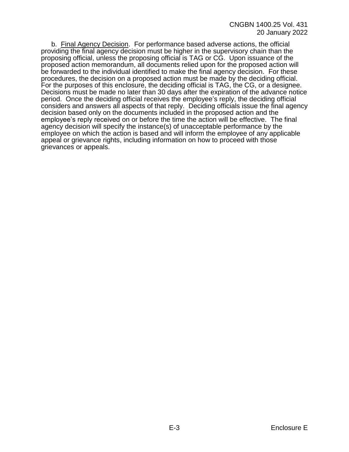b. Final Agency Decision. For performance based adverse actions, the official providing the final agency decision must be higher in the supervisory chain than the proposing official, unless the proposing official is TAG or CG. Upon issuance of the proposed action memorandum, all documents relied upon for the proposed action will be forwarded to the individual identified to make the final agency decision. For these procedures, the decision on a proposed action must be made by the deciding official. For the purposes of this enclosure, the deciding official is TAG, the CG, or a designee. Decisions must be made no later than 30 days after the expiration of the advance notice period. Once the deciding official receives the employee's reply, the deciding official considers and answers all aspects of that reply. Deciding officials issue the final agency decision based only on the documents included in the proposed action and the employee's reply received on or before the time the action will be effective. The final agency decision will specify the instance(s) of unacceptable performance by the employee on which the action is based and will inform the employee of any applicable appeal or grievance rights, including information on how to proceed with those grievances or appeals.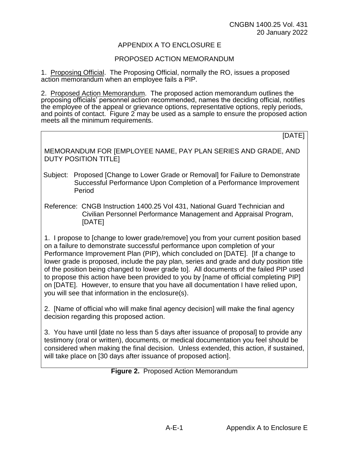# APPENDIX A TO ENCLOSURE E

## PROPOSED ACTION MEMORANDUM

1. Proposing Official. The Proposing Official, normally the RO, issues a proposed action memorandum when an employee fails a PIP.

2. Proposed Action Memorandum. The proposed action memorandum outlines the proposing officials' personnel action recommended, names the deciding official, notifies the employee of the appeal or grievance options, representative options, reply periods, and points of contact. Figure 2 may be used as a sample to ensure the proposed action meets all the minimum requirements.

[DATE]

MEMORANDUM FOR [EMPLOYEE NAME, PAY PLAN SERIES AND GRADE, AND DUTY POSITION TITLE]

- Subject: Proposed [Change to Lower Grade or Removal] for Failure to Demonstrate Successful Performance Upon Completion of a Performance Improvement Period
- Reference: CNGB Instruction 1400.25 Vol 431, National Guard Technician and Civilian Personnel Performance Management and Appraisal Program, [DATE]

1. I propose to [change to lower grade/remove] you from your current position based on a failure to demonstrate successful performance upon completion of your Performance Improvement Plan (PIP), which concluded on [DATE]. [If a change to lower grade is proposed, include the pay plan, series and grade and duty position title of the position being changed to lower grade to]. All documents of the failed PIP used to propose this action have been provided to you by [name of official completing PIP] on [DATE]. However, to ensure that you have all documentation I have relied upon, you will see that information in the enclosure(s).

2. [Name of official who will make final agency decision] will make the final agency decision regarding this proposed action.

3. You have until [date no less than 5 days after issuance of proposal] to provide any testimony (oral or written), documents, or medical documentation you feel should be considered when making the final decision. Unless extended, this action, if sustained, will take place on [30 days after issuance of proposed action].

**Figure 2.** Proposed Action Memorandum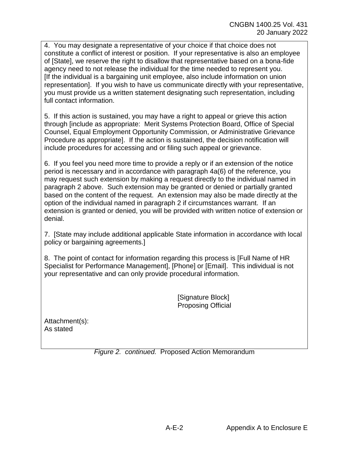4. You may designate a representative of your choice if that choice does not constitute a conflict of interest or position. If your representative is also an employee of [State], we reserve the right to disallow that representative based on a bona-fide agency need to not release the individual for the time needed to represent you. [If the individual is a bargaining unit employee, also include information on union representation]. If you wish to have us communicate directly with your representative, you must provide us a written statement designating such representation, including full contact information.

5. If this action is sustained, you may have a right to appeal or grieve this action through [include as appropriate: Merit Systems Protection Board, Office of Special Counsel, Equal Employment Opportunity Commission, or Administrative Grievance Procedure as appropriate]. If the action is sustained, the decision notification will include procedures for accessing and or filing such appeal or grievance.

6. If you feel you need more time to provide a reply or if an extension of the notice period is necessary and in accordance with paragraph 4a(6) of the reference, you may request such extension by making a request directly to the individual named in paragraph 2 above. Such extension may be granted or denied or partially granted based on the content of the request. An extension may also be made directly at the option of the individual named in paragraph 2 if circumstances warrant. If an extension is granted or denied, you will be provided with written notice of extension or denial.

7. [State may include additional applicable State information in accordance with local policy or bargaining agreements.]

8. The point of contact for information regarding this process is [Full Name of HR Specialist for Performance Management], [Phone] or [Email]. This individual is not your representative and can only provide procedural information.

> [Signature Block] Proposing Official

Attachment(s): As stated

*Figure 2. continued.* Proposed Action Memorandum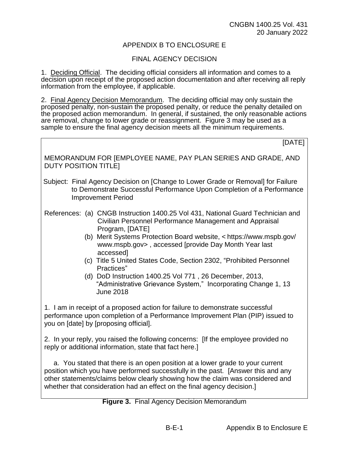# APPENDIX B TO ENCLOSURE E

## FINAL AGENCY DECISION

1. Deciding Official. The deciding official considers all information and comes to a decision upon receipt of the proposed action documentation and after receiving all reply information from the employee, if applicable.

2. Final Agency Decision Memorandum. The deciding official may only sustain the proposed penalty, non-sustain the proposed penalty, or reduce the penalty detailed on the proposed action memorandum. In general, if sustained, the only reasonable actions are removal, change to lower grade or reassignment. Figure 3 may be used as a sample to ensure the final agency decision meets all the minimum requirements.

| [DATE]                                                                                                                                                                                                                                                                                                                                                                                                                                                                                                                                         |
|------------------------------------------------------------------------------------------------------------------------------------------------------------------------------------------------------------------------------------------------------------------------------------------------------------------------------------------------------------------------------------------------------------------------------------------------------------------------------------------------------------------------------------------------|
| MEMORANDUM FOR [EMPLOYEE NAME, PAY PLAN SERIES AND GRADE, AND<br><b>DUTY POSITION TITLE!</b>                                                                                                                                                                                                                                                                                                                                                                                                                                                   |
| Subject: Final Agency Decision on [Change to Lower Grade or Removal] for Failure<br>to Demonstrate Successful Performance Upon Completion of a Performance<br><b>Improvement Period</b>                                                                                                                                                                                                                                                                                                                                                        |
| References: (a) CNGB Instruction 1400.25 Vol 431, National Guard Technician and<br>Civilian Personnel Performance Management and Appraisal<br>Program, [DATE]<br>(b) Merit Systems Protection Board website, < https://www.mspb.gov/<br>www.mspb.gov>, accessed [provide Day Month Year last<br>accessed]<br>(c) Title 5 United States Code, Section 2302, "Prohibited Personnel<br>Practices"<br>(d) DoD Instruction 1400.25 Vol 771, 26 December, 2013,<br>"Administrative Grievance System," Incorporating Change 1, 13<br><b>June 2018</b> |
| 1. I am in receipt of a proposed action for failure to demonstrate successful<br>performance upon completion of a Performance Improvement Plan (PIP) issued to<br>you on [date] by [proposing official].                                                                                                                                                                                                                                                                                                                                       |
| 2. In your reply, you raised the following concerns: [If the employee provided no<br>reply or additional information, state that fact here.]                                                                                                                                                                                                                                                                                                                                                                                                   |
| a. You stated that there is an open position at a lower grade to your current<br>position which you have performed successfully in the past. [Answer this and any<br>other statements/claims below clearly showing how the claim was considered and<br>whether that consideration had an effect on the final agency decision.]                                                                                                                                                                                                                 |

#### **Figure 3.** Final Agency Decision Memorandum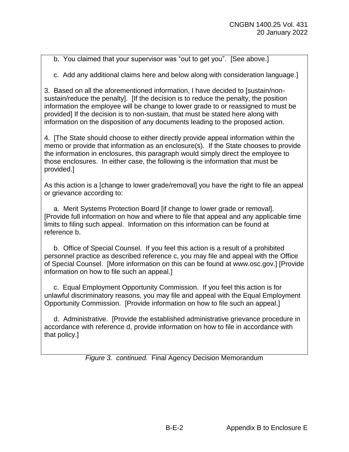b. You claimed that your supervisor was "out to get you". [See above.]

c. Add any additional claims here and below along with consideration language.]

3. Based on all the aforementioned information, I have decided to [sustain/nonsustain/reduce the penalty]. [If the decision is to reduce the penalty, the position information the employee will be change to lower grade to or reassigned to must be provided] If the decision is to non-sustain, that must be stated here along with information on the disposition of any documents leading to the proposed action.

4. [The State should choose to either directly provide appeal information within the memo or provide that information as an enclosure(s). If the State chooses to provide the information in enclosures, this paragraph would simply direct the employee to those enclosures. In either case, the following is the information that must be provided.]

As this action is a [change to lower grade/removal] you have the right to file an appeal or grievance according to:

a. Merit Systems Protection Board [if change to lower grade or removal]. [Provide full information on how and where to file that appeal and any applicable time limits to filing such appeal. Information on this information can be found at reference b.

b. Office of Special Counsel. If you feel this action is a result of a prohibited personnel practice as described reference c, you may file and appeal with the Office of Special Counsel. [More information on this can be found at www.osc.gov.] [Provide information on how to file such an appeal.]

c. Equal Employment Opportunity Commission. If you feel this action is for unlawful discriminatory reasons, you may file and appeal with the Equal Employment Opportunity Commission. [Provide information on how to file such an appeal.]

d. Administrative. [Provide the established administrative grievance procedure in accordance with reference d, provide information on how to file in accordance with that policy.]

*Figure 3. continued.* Final Agency Decision Memorandum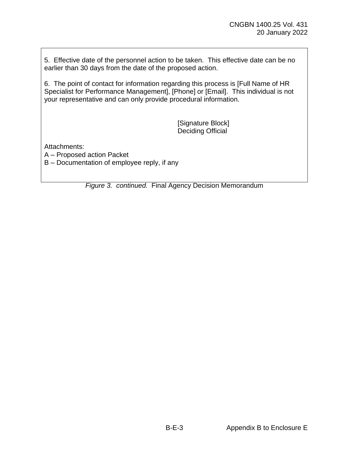5. Effective date of the personnel action to be taken. This effective date can be no earlier than 30 days from the date of the proposed action.

6. The point of contact for information regarding this process is [Full Name of HR Specialist for Performance Management], [Phone] or [Email]. This individual is not your representative and can only provide procedural information.

> [Signature Block] Deciding Official

Attachments:

A – Proposed action Packet

B – Documentation of employee reply, if any

*Figure 3. continued.* Final Agency Decision Memorandum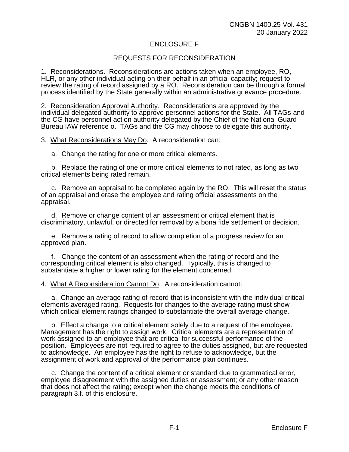#### ENCLOSURE F

#### REQUESTS FOR RECONSIDERATION

1. Reconsiderations. Reconsiderations are actions taken when an employee, RO, HLR, or any other individual acting on their behalf in an official capacity; request to review the rating of record assigned by a RO. Reconsideration can be through a formal process identified by the State generally within an administrative grievance procedure.

2. Reconsideration Approval Authority. Reconsiderations are approved by the individual delegated authority to approve personnel actions for the State. All TAGs and the CG have personnel action authority delegated by the Chief of the National Guard Bureau IAW reference o. TAGs and the CG may choose to delegate this authority.

3. What Reconsiderations May Do. A reconsideration can:

a. Change the rating for one or more critical elements.

b. Replace the rating of one or more critical elements to not rated, as long as two critical elements being rated remain.

c. Remove an appraisal to be completed again by the RO. This will reset the status of an appraisal and erase the employee and rating official assessments on the appraisal.

d. Remove or change content of an assessment or critical element that is discriminatory, unlawful, or directed for removal by a bona fide settlement or decision.

e. Remove a rating of record to allow completion of a progress review for an approved plan.

f. Change the content of an assessment when the rating of record and the corresponding critical element is also changed. Typically, this is changed to substantiate a higher or lower rating for the element concerned.

4. What A Reconsideration Cannot Do. A reconsideration cannot:

a. Change an average rating of record that is inconsistent with the individual critical elements averaged rating. Requests for changes to the average rating must show which critical element ratings changed to substantiate the overall average change.

b. Effect a change to a critical element solely due to a request of the employee. Management has the right to assign work. Critical elements are a representation of work assigned to an employee that are critical for successful performance of the position. Employees are not required to agree to the duties assigned, but are requested to acknowledge. An employee has the right to refuse to acknowledge, but the assignment of work and approval of the performance plan continues.

c. Change the content of a critical element or standard due to grammatical error, employee disagreement with the assigned duties or assessment; or any other reason that does not affect the rating; except when the change meets the conditions of paragraph 3.f. of this enclosure.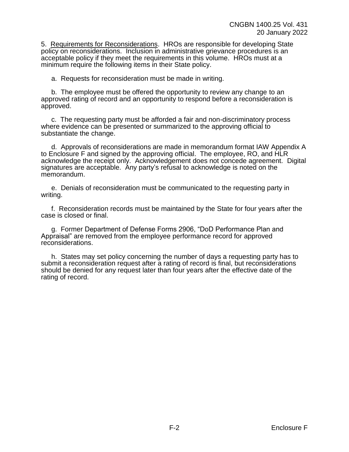5. Requirements for Reconsiderations. HROs are responsible for developing State policy on reconsiderations. Inclusion in administrative grievance procedures is an acceptable policy if they meet the requirements in this volume. HROs must at a minimum require the following items in their State policy.

a. Requests for reconsideration must be made in writing.

b. The employee must be offered the opportunity to review any change to an approved rating of record and an opportunity to respond before a reconsideration is approved.

c. The requesting party must be afforded a fair and non-discriminatory process where evidence can be presented or summarized to the approving official to substantiate the change.

d. Approvals of reconsiderations are made in memorandum format IAW Appendix A to Enclosure F and signed by the approving official. The employee, RO, and HLR acknowledge the receipt only. Acknowledgement does not concede agreement. Digital signatures are acceptable. Any party's refusal to acknowledge is noted on the memorandum.

e. Denials of reconsideration must be communicated to the requesting party in writing.

f. Reconsideration records must be maintained by the State for four years after the case is closed or final.

g. Former Department of Defense Forms 2906, "DoD Performance Plan and Appraisal" are removed from the employee performance record for approved reconsiderations.

h. States may set policy concerning the number of days a requesting party has to submit a reconsideration request after a rating of record is final, but reconsiderations should be denied for any request later than four years after the effective date of the rating of record.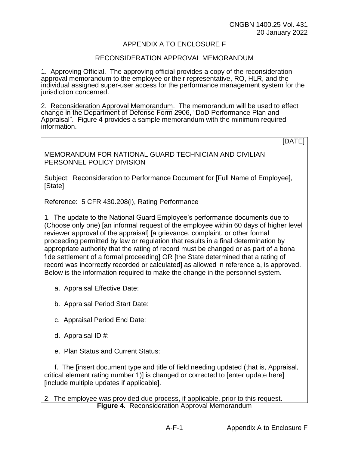#### APPENDIX A TO ENCLOSURE F

#### RECONSIDERATION APPROVAL MEMORANDUM

1. Approving Official. The approving official provides a copy of the reconsideration approval memorandum to the employee or their representative, RO, HLR, and the individual assigned super-user access for the performance management system for the jurisdiction concerned.

2. Reconsideration Approval Memorandum. The memorandum will be used to effect change in the Department of Defense Form 2906, "DoD Performance Plan and Appraisal". Figure 4 provides a sample memorandum with the minimum required information.

[DATE]

MEMORANDUM FOR NATIONAL GUARD TECHNICIAN AND CIVILIAN PERSONNEL POLICY DIVISION

Subject: Reconsideration to Performance Document for [Full Name of Employee], [State]

Reference: 5 CFR 430.208(i), Rating Performance

1. The update to the National Guard Employee's performance documents due to (Choose only one) [an informal request of the employee within 60 days of higher level reviewer approval of the appraisal] [a grievance, complaint, or other formal proceeding permitted by law or regulation that results in a final determination by appropriate authority that the rating of record must be changed or as part of a bona fide settlement of a formal proceeding] OR [the State determined that a rating of record was incorrectly recorded or calculated] as allowed in reference a, is approved. Below is the information required to make the change in the personnel system.

- a. Appraisal Effective Date:
- b. Appraisal Period Start Date:
- c. Appraisal Period End Date:
- d. Appraisal ID #:
- e. Plan Status and Current Status:

f. The [insert document type and title of field needing updated (that is, Appraisal, critical element rating number 1)] is changed or corrected to [enter update here] [include multiple updates if applicable].

2. The employee was provided due process, if applicable, prior to this request. **Figure 4.** Reconsideration Approval Memorandum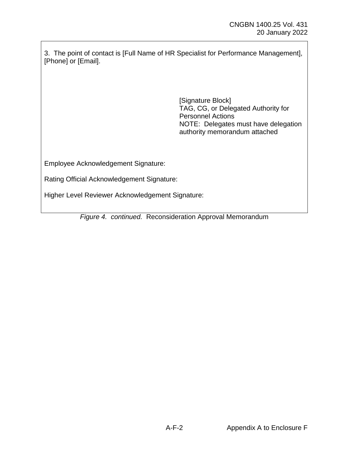3. The point of contact is [Full Name of HR Specialist for Performance Management], [Phone] or [Email].

> [Signature Block] TAG, CG, or Delegated Authority for Personnel Actions NOTE: Delegates must have delegation authority memorandum attached

Employee Acknowledgement Signature:

Rating Official Acknowledgement Signature:

Higher Level Reviewer Acknowledgement Signature:

*Figure 4. continued.* Reconsideration Approval Memorandum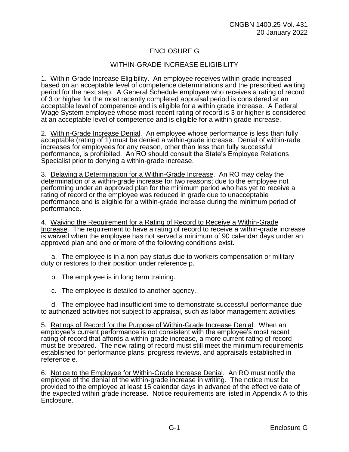# ENCLOSURE G

## WITHIN-GRADE INCREASE ELIGIBILITY

1. Within-Grade Increase Eligibility. An employee receives within-grade increased based on an acceptable level of competence determinations and the prescribed waiting period for the next step. A General Schedule employee who receives a rating of record of 3 or higher for the most recently completed appraisal period is considered at an acceptable level of competence and is eligible for a within grade increase. A Federal Wage System employee whose most recent rating of record is 3 or higher is considered at an acceptable level of competence and is eligible for a within grade increase.

2. Within-Grade Increase Denial. An employee whose performance is less than fully acceptable (rating of 1) must be denied a within-grade increase. Denial of within-rade increases for employees for any reason, other than less than fully successful performance, is prohibited. An RO should consult the State's Employee Relations Specialist prior to denying a within-grade increase.

3. Delaying a Determination for a Within-Grade Increase. An RO may delay the determination of a within-grade increase for two reasons; due to the employee not performing under an approved plan for the minimum period who has yet to receive a rating of record or the employee was reduced in grade due to unacceptable performance and is eligible for a within-grade increase during the minimum period of performance.

4. Waiving the Requirement for a Rating of Record to Receive a Within-Grade Increase. The requirement to have a rating of record to receive a within-grade increase is waived when the employee has not served a minimum of 90 calendar days under an approved plan and one or more of the following conditions exist.

a. The employee is in a non-pay status due to workers compensation or military duty or restores to their position under reference p.

b. The employee is in long term training.

c. The employee is detailed to another agency.

d. The employee had insufficient time to demonstrate successful performance due to authorized activities not subject to appraisal, such as labor management activities.

5. Ratings of Record for the Purpose of Within-Grade Increase Denial. When an employee's current performance is not consistent with the employee's most recent rating of record that affords a within-grade increase, a more current rating of record must be prepared. The new rating of record must still meet the minimum requirements established for performance plans, progress reviews, and appraisals established in reference e.

6. Notice to the Employee for Within-Grade Increase Denial. An RO must notify the employee of the denial of the within-grade increase in writing. The notice must be provided to the employee at least 15 calendar days in advance of the effective date of the expected within grade increase. Notice requirements are listed in Appendix A to this Enclosure.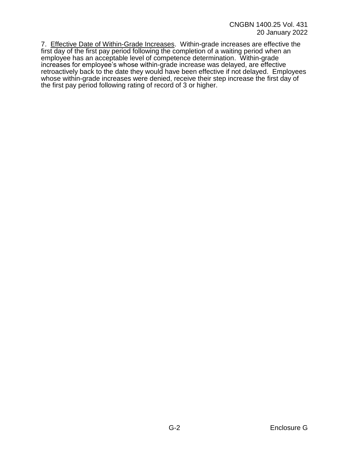7. Effective Date of Within-Grade Increases. Within-grade increases are effective the first day of the first pay period following the completion of a waiting period when an employee has an acceptable level of competence determination. Within-grade increases for employee's whose within-grade increase was delayed, are effective retroactively back to the date they would have been effective if not delayed. Employees whose within-grade increases were denied, receive their step increase the first day of the first pay period following rating of record of 3 or higher.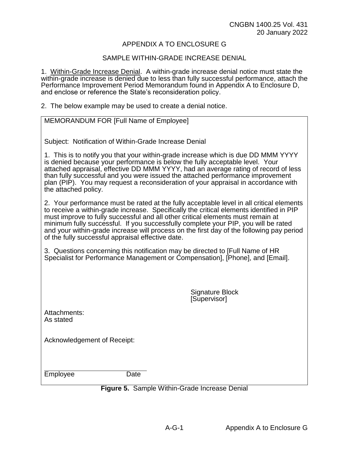#### APPENDIX A TO ENCLOSURE G

#### SAMPLE WITHIN-GRADE INCREASE DENIAL

1. Within-Grade Increase Denial. A within-grade increase denial notice must state the within-grade increase is denied due to less than fully successful performance, attach the Performance Improvement Period Memorandum found in Appendix A to Enclosure D, and enclose or reference the State's reconsideration policy.

2. The below example may be used to create a denial notice.

| MEMORANDUM FOR [Full Name of Employee]                                                                                                                                                                                                                                                                                                                                                                                                                                                                         |
|----------------------------------------------------------------------------------------------------------------------------------------------------------------------------------------------------------------------------------------------------------------------------------------------------------------------------------------------------------------------------------------------------------------------------------------------------------------------------------------------------------------|
| Subject: Notification of Within-Grade Increase Denial                                                                                                                                                                                                                                                                                                                                                                                                                                                          |
| 1. This is to notify you that your within-grade increase which is due DD MMM YYYY<br>is denied because your performance is below the fully acceptable level. Your<br>attached appraisal, effective DD MMM YYYY, had an average rating of record of less<br>than fully successful and you were issued the attached performance improvement<br>plan (PIP). You may request a reconsideration of your appraisal in accordance with<br>the attached policy.                                                        |
| 2. Your performance must be rated at the fully acceptable level in all critical elements<br>to receive a within-grade increase. Specifically the critical elements identified in PIP<br>must improve to fully successful and all other critical elements must remain at<br>minimum fully successful. If you successfully complete your PIP, you will be rated<br>and your within-grade increase will process on the first day of the following pay period<br>of the fully successful appraisal effective date. |
| 3. Questions concerning this notification may be directed to [Full Name of HR<br>Specialist for Performance Management or Compensation], [Phone], and [Email].                                                                                                                                                                                                                                                                                                                                                 |
|                                                                                                                                                                                                                                                                                                                                                                                                                                                                                                                |
| <b>Signature Block</b><br>[Supervisor]                                                                                                                                                                                                                                                                                                                                                                                                                                                                         |
| Attachments:<br>As stated                                                                                                                                                                                                                                                                                                                                                                                                                                                                                      |
| Acknowledgement of Receipt:                                                                                                                                                                                                                                                                                                                                                                                                                                                                                    |
| Employee<br>Date                                                                                                                                                                                                                                                                                                                                                                                                                                                                                               |

#### **Figure 5.** Sample Within-Grade Increase Denial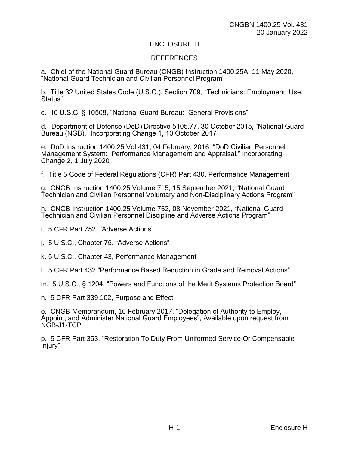#### ENCLOSURE H

#### REFERENCES

a. Chief of the National Guard Bureau (CNGB) Instruction 1400.25A, 11 May 2020, "National Guard Technician and Civilian Personnel Program"

b. Title 32 United States Code (U.S.C.), Section 709, "Technicians: Employment, Use, Status"

c. 10 U.S.C. § 10508, "National Guard Bureau: General Provisions"

d. Department of Defense (DoD) Directive 5105.77, 30 October 2015, "National Guard Bureau (NGB)," Incorporating Change 1, 10 October 2017

e. DoD Instruction 1400.25 Vol 431, 04 February, 2016, "DoD Civilian Personnel Management System: Performance Management and Appraisal," Incorporating Change 2, 1 July 2020

f. Title 5 Code of Federal Regulations (CFR) Part 430, Performance Management

g. CNGB Instruction 1400.25 Volume 715, 15 September 2021, "National Guard Technician and Civilian Personnel Voluntary and Non-Disciplinary Actions Program"

h. CNGB Instruction 1400.25 Volume 752, 08 November 2021, "National Guard Technician and Civilian Personnel Discipline and Adverse Actions Program"

i. 5 CFR Part 752, "Adverse Actions"

j. 5 U.S.C., Chapter 75, "Adverse Actions"

k. 5 U.S.C., Chapter 43, Performance Management

l. 5 CFR Part 432 "Performance Based Reduction in Grade and Removal Actions"

m. 5 U.S.C., § 1204, "Powers and Functions of the Merit Systems Protection Board"

n. 5 CFR Part 339.102, Purpose and Effect

o. CNGB Memorandum, 16 February 2017, "Delegation of Authority to Employ, Appoint, and Administer National Guard Employees", Available upon request from NGB-J1-TCP

p. 5 CFR Part 353, "Restoration To Duty From Uniformed Service Or Compensable Injury"